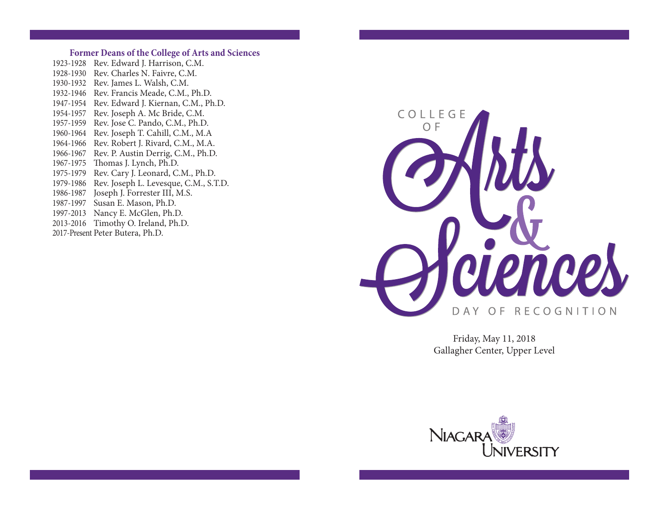### **Former Deans of the College of Arts and Sciences**

1923-1928 Rev. Edward J. Harrison, C.M. 1928-1930 Rev. Charles N. Faivre, C.M. 1930-1932 Rev. James L. Walsh, C.M. 1932-1946 Rev. Francis Meade, C.M., Ph.D. 1947-1954 Rev. Edward J. Kiernan, C.M., Ph.D. 1954-1957 Rev. Joseph A. Mc Bride, C.M. 1957-1959 Rev. Jose C. Pando, C.M., Ph.D. 1960-1964 Rev. Joseph T. Cahill, C.M., M.A 1964-1966 Rev. Robert J. Rivard, C.M., M.A. 1966-1967 Rev. P. Austin Derrig, C.M., Ph.D. 1967-1975 Thomas J. Lynch, Ph.D. 1975-1979 Rev. Cary J. Leonard, C.M., Ph.D. 1979-1986 Rev. Joseph L. Levesque, C.M., S.T.D. 1986-1987 Joseph J. Forrester III, M.S. 1987-1997 Susan E. Mason, Ph.D. 1997-2013 Nancy E. McGlen, Ph.D. 2013-2016 Timothy O. Ireland, Ph.D. 2017-Present Peter Butera, Ph.D.



Friday, May 11, 2018 Gallagher Center, Upper Level

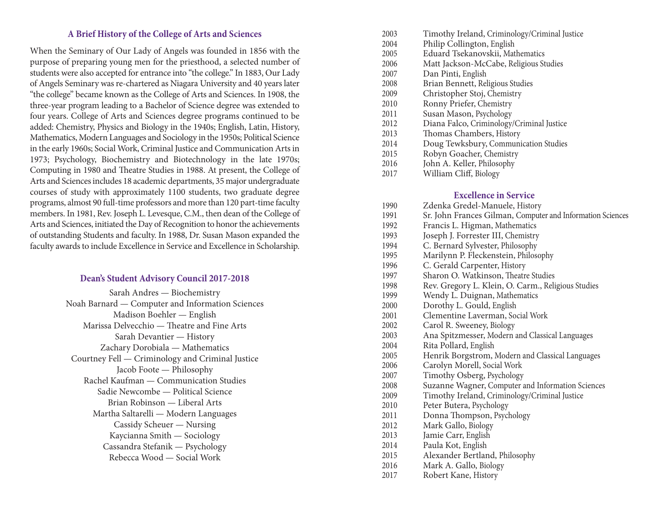## **A Brief History of the College of Arts and Sciences**

When the Seminary of Our Lady of Angels was founded in 1856 with the purpose of preparing young men for the priesthood, a selected number of students were also accepted for entrance into "the college." In 1883, Our Lady of Angels Seminary was re-chartered as Niagara University and 40 years later "the college" became known as the College of Arts and Sciences. In 1908, the three-year program leading to a Bachelor of Science degree was extended to four years. College of Arts and Sciences degree programs continued to be added: Chemistry, Physics and Biology in the 1940s; English, Latin, History, Mathematics, Modern Languages and Sociology in the 1950s; Political Science in the early 1960s; Social Work, Criminal Justice and Communication Artsin 1973; Psychology, Biochemistry and Biotechnology in the late 1970s; Computing in 1980 and Theatre Studies in 1988. At present, the College of Arts and Sciences includes 18 academic departments, 35 major undergraduate courses of study with approximately 1100 students, two graduate degree programs, almost 90 full-time professors and more than 120 part-time faculty members. In 1981, Rev. Joseph L. Levesque, C.M., then dean of the College of Arts and Sciences, initiated the Day of Recognition to honor the achievements of outstanding Students and faculty. In 1988, Dr. Susan Mason expanded the faculty awards to include Excellence in Service and Excellence in Scholarship.

## **Dean's Student Advisory Council 2017-2018**

Sarah Andres — Biochemistry Noah Barnard — Computer and Information Sciences Madison Boehler — English Marissa Delvecchio — Theatre and Fine Arts Sarah Devantier — History Zachary Dorobiala — Mathematics Courtney Fell — Criminology and Criminal Justice Jacob Foote — Philosophy Rachel Kaufman — Communication Studies Sadie Newcombe — Political Science Brian Robinson — Liberal Arts Martha Saltarelli — Modern Languages Cassidy Scheuer — Nursing Kaycianna Smith — Sociology Cassandra Stefanik — Psychology Rebecca Wood — Social Work

- 2003 Timothy Ireland, Criminology/Criminal Justice
- 2004 Philip Collington, English
- 2005 Eduard Tsekanovskii, Mathematics
- 2006 Matt Jackson-McCabe, Religious Studies
- 2007 Dan Pinti, English
- 2008 Brian Bennett, Religious Studies
- 2009 Christopher Stoj, Chemistry
- 2010 Ronny Priefer, Chemistry
- 2011 Susan Mason, Psychology
- 2012 Diana Falco, Criminology/Criminal Justice
- 2013 Thomas Chambers, History
- 2014 Doug Tewksbury, Communication Studies
- 2015 Robyn Goacher, Chemistry
- 2016 John A. Keller, Philosophy
- 2017 William Cliff, Biology

### **Excellence in Service**

- 1990 Zdenka Gredel-Manuele, History
- 1991 Sr. John Frances Gilman, Computer and Information Sciences
- 1992 Francis L. Higman, Mathematics
- 1993 Joseph J. Forrester III, Chemistry
- 1994 C. Bernard Sylvester, Philosophy
- 1995 Marilynn P. Fleckenstein, Philosophy
- 1996 C. Gerald Carpenter, History
- 1997 Sharon O. Watkinson, Theatre Studies
- 1998 Rev. Gregory L. Klein, O. Carm., Religious Studies
- 1999 Wendy L. Duignan, Mathematics
- 2000 Dorothy L. Gould, English
- 2001 Clementine Laverman, Social Work
- 2002 Carol R. Sweeney, Biology
- 2003 Ana Spitzmesser, Modern and Classical Languages
- 2004 Rita Pollard, English
- 2005 Henrik Borgstrom, Modern and Classical Languages
- 2006 Carolyn Morell, Social Work
- 2007 Timothy Osberg, Psychology
- 2008 Suzanne Wagner, Computer and Information Sciences
- 2009 Timothy Ireland, Criminology/Criminal Justice
- 2010 Peter Butera, Psychology
- 2011 Donna Thompson, Psychology
- 2012 Mark Gallo, Biology
- 2013 Jamie Carr, English
- 2014 Paula Kot, English
- 2015 Alexander Bertland, Philosophy
- 2016 Mark A. Gallo, Biology
- 2017 Robert Kane, History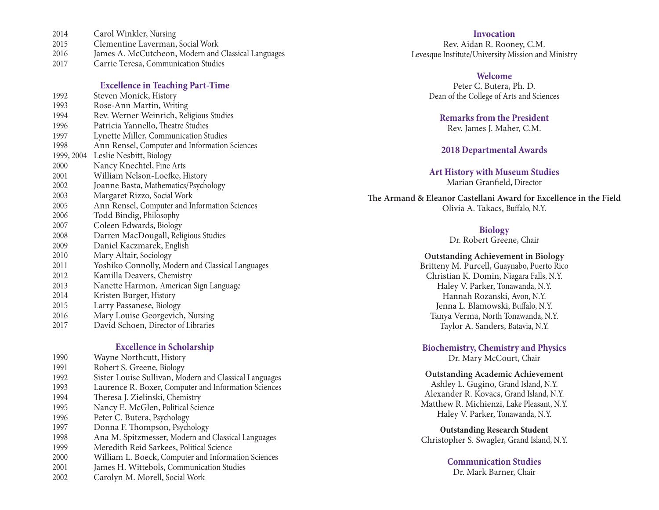- 2 0 1 4 Carol Winkler, Nursing
- 2 0 1 5 Clementine Laverman, Social Work
- 2 0 1 6 James A. McCutcheon, Modern and Classical Languages
- 2 0 1 7 Carrie Teresa, Communication Studies

### **Excellence in Teaching Part-Time**

| 1992 | Steven Monick, History                           |
|------|--------------------------------------------------|
| 1993 | Rose-Ann Martin, Writing                         |
| 1994 | Rev. Werner Weinrich, Religious Studies          |
| 1996 | Patricia Yannello, Theatre Studies               |
| 1997 | Lynette Miller, Communication Studies            |
| 1998 | Ann Rensel, Computer and Information Sciences    |
|      | 1999, 2004 Leslie Nesbitt, Biology               |
| 2000 | Nancy Knechtel, Fine Arts                        |
| 2001 | William Nelson-Loefke, History                   |
| 2002 | Joanne Basta, Mathematics/Psychology             |
| 2003 | Margaret Rizzo, Social Work                      |
| 2005 | Ann Rensel, Computer and Information Sciences    |
| 2006 | Todd Bindig, Philosophy                          |
| 2007 | Coleen Edwards, Biology                          |
| 2008 | Darren MacDougall, Religious Studies             |
| 2009 | Daniel Kaczmarek, English                        |
| 2010 | Mary Altair, Sociology                           |
| 2011 | Yoshiko Connolly, Modern and Classical Languages |
| 2012 | Kamilla Deavers, Chemistry                       |
| 2013 | Nanette Harmon, American Sign Language           |
| 2014 | Kristen Burger, History                          |
| 2015 | Larry Passanese, Biology                         |
| 2016 | Mary Louise Georgevich, Nursing                  |
| 2017 | David Schoen, Director of Libraries              |
|      |                                                  |

### **Excellence** in Scholarship

1 9 9 0 Wayne Northcutt, History 1 9 9 1 Robert S. Greene, Biology 1 9 9 2 Sister Louise Sullivan, Modern and Classical Languages 1 9 9 3 Laurence R. Boxer, Computer and Information Sciences 1 9 9 4 Theresa J. Zielinski, Chemistry 1 9 9 5 Nancy E. McGlen, Political Science 1 9 9 6 Peter C. Butera, Psychology 1 9 9 7 Donna F. Thompson, Psychology 1 9 9 8 Ana M. Spitzmesser, Modern and Classical Languages 1 9 9 9 Meredith Reid Sarkees, Political Science 2 0 0 0 William L. Boeck, Computer and Information Sciences 2 0 0 1 James H. Wittebols, Communication Studies 2 0 0 2 Carolyn M. Morell, Social Work

### Invocation

Rev. Aidan R. Rooney, C.M. Levesque Institute/University Mission and Ministry

## Welcome

Peter C. Butera, Ph. D. Dean of the College of Arts and Sciences

**Remarks from the President** Rev. James J. Maher, C.M.

### 2018 Departmental Awards

**Art History with Museum Studies** Marian Granfield, Director

The Armand & Eleanor Castellani Award for Excellence in the Field Olivia A. Takacs, Buffalo, N.Y.

### **Biology**

Dr. Robert Greene, Chair

### **Outstanding Achievement in Biology**

Britteny M. Purcell, Guaynabo, Puerto Rico Christian K. Domin, Niagara Falls, N.Y. Haley V. Parker, Tonawanda, N.Y. Hannah Rozanski, Avon, N.Y. Jenna L. Blamowski, Buffalo, N.Y. Tanya Verma, North Tonawanda, N.Y. Taylor A. Sanders, Batavia, N.Y.

# **Biochemistry, Chemistry and Physics**

Dr. Mary McCourt, Chair

**Outstanding Academic Achievement** Ashley L. Gugino, Grand Island, N.Y. Alexander R. Kovacs, Grand Island, N.Y. Matthew R. Michienzi, Lake Pleasant, N.Y. Haley V. Parker, Tonawanda, N.Y.

**Outstanding Research Student** Christopher S. Swagler, Grand Island, N.Y.

## **Communication Studies**

Dr. Mark Barner, Chair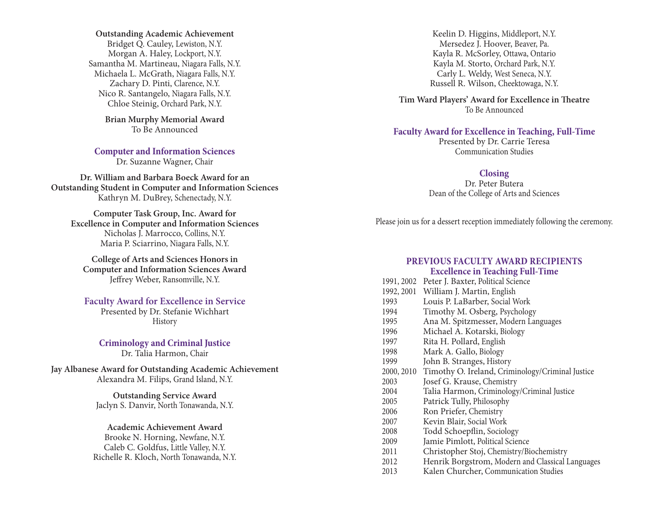**Outstanding Academic Achievement** Bridget Q. Cauley, Lewiston, N.Y. Morgan A. Haley, Lockport, N.Y. Samantha M. Martineau, Niagara Falls, N.Y. Michaela L. McGrath, Niagara Falls, N.Y. Zachary D. Pinti, Clarence, N.Y. Nico R. Santangelo, Niagara Falls, N.Y. Chloe Steinig, Orchard Park, N.Y.

> **Brian Murphy Memorial Award** To Be Announced

**Computer and Information Sciences** Dr. Suzanne Wagner, Chair

**Dr. William and Barbara Boeck Award for an Outstanding Student in Computer and Information Sciences** Kathryn M. DuBrey, Schenectady, N.Y.

**Computer Task Group, Inc. Award for Excellence in Computer and Information Sciences** Nicholas J. Marrocco, Collins, N.Y. Maria P. Sciarrino, Niagara Falls, N.Y.

**College of Arts and Sciences Honors in Computer and Information Sciences Award** Jeffrey Weber, Ransomville, N.Y.

**Faculty Award for Excellence in Service** Presented by Dr. Stefanie Wichhart History

**Criminology and Criminal Justice** Dr. Talia Harmon, Chair

**Jay Albanese Award for Outstanding Academic Achievement** Alexandra M. Filips, Grand Island, N.Y.

> **Outstanding Service Award** Jaclyn S. Danvir, North Tonawanda, N.Y.

### **Academic Achievement Award**

Brooke N. Horning, Newfane, N.Y. Caleb C. Goldfus, Little Valley, N.Y. Richelle R. Kloch, North Tonawanda, N.Y.

Keelin D. Higgins, Middleport, N.Y. Mersedez J. Hoover, Beaver, Pa. Kayla R. McSorley, Ottawa, Ontario Kayla M. Storto, Orchard Park, N.Y. Carly L. Weldy, West Seneca, N.Y. Russell R. Wilson, Cheektowaga, N.Y.

**Tim Ward Players' Award for Excellence in eatre** To Be Announced

## **Faculty Award for Excellence in Teaching, Full-Time**

Presented by Dr. Carrie Teresa Communication Studies

#### **Closing**

Dr. Peter Butera Dean of the College of Arts and Sciences

Please join us for a dessert reception immediately following the ceremony.

#### **PREvIOuS FACulTy AWARD RECIPIEnTS Excellence in Teaching Full-Time**

- 1991, 2002 Peter J. Baxter, Political Science
- 1992, 2001 William J. Martin, English
- 1993 Louis P. LaBarber, Social Work
- 1994 Timothy M. Osberg, Psychology<br>1995 Ana M. Spitzmesser, Modern Lar
- 1995 Ana M. Spitzmesser, Modern Languages<br>1996 Michael A. Kotarski, Biology
- 1996 Michael A. Kotarski, Biology<br>1997 Rita H. Pollard, English
- 1997 Rita H. Pollard, English<br>1998 Mark A. Gallo, Biology
- Mark A. Gallo, Biology
- 1999 John B. Stranges, History
- 2000, 2010 Timothy O. Ireland, Criminology/Criminal Justice
- 2003 Josef G. Krause, Chemistry
- 2004 Talia Harmon, Criminology/Criminal Justice
- 2005 Patrick Tully, Philosophy
- 2006 Ron Priefer, Chemistry
- 2007 Kevin Blair, Social Work<br>2008 Todd Schoenflin, Sociole
	- Todd Schoepflin, Sociology
- 2009 Jamie Pimlott, Political Science
- 2011 Christopher Stoj, Chemistry/Biochemistry
- 2012 Henrik Borgstrom, Modern and Classical Languages
- 2013 Kalen Churcher, Communication Studies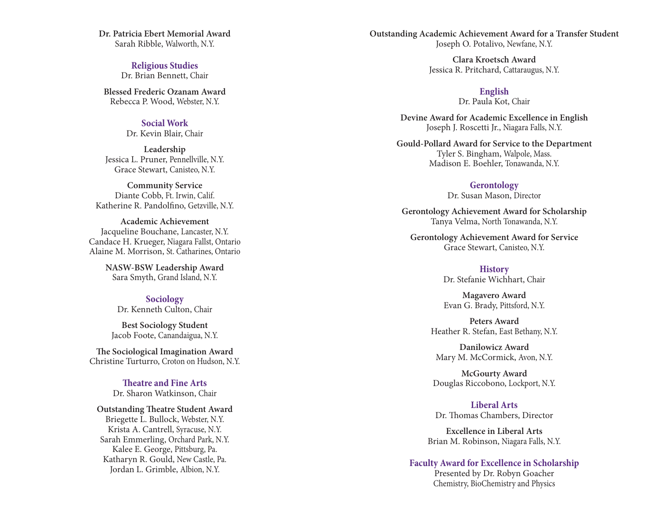Dr. Patricia Ebert Memorial Award Sarah Ribble, Walworth, N.Y.

> **Religious Studies** Dr. Brian Bennett, Chair

**Blessed Frederic Ozanam Award** Rebecca P. Wood, Webster, N.Y.

### **S o c i a l Wo r k**

Dr. Kevin Blair, Chair

Leadership Jessica L. Pruner, Pennellville, N.Y. Grace Stewart, Canisteo, N.Y.

**Community Service** Diante Cobb, Ft. Irwin, Calif. Katherine R. Pandolfino, Getzville, N.Y.

Academic Achievement Jacqueline Bouchane, Lancaster, N.Y. Candace H. Krueger, Niagara Fallst, Ontario Alaine M. Morrison, St. Catharines, Ontario

> **NASW-BSW Leadership Award** Sara Smyth, Grand Island, N.Y.

**Sociology** Dr. Kenneth Culton, Chair

Best Sociology Student Jacob Foote, Canandaigua, N.Y.

The Sociological Imagination Award Christine Turturro, Croton on Hudson, N.Y.

> Theatre and Fine Arts Dr. Sharon Watkinson, Chair

**Outstanding Theatre Student Award** Briegette L. Bullock, Webster, N.Y. Krista A. Cantrell, Syracuse, N.Y. Sarah Emmerling, Orchard Park, N.Y. Kalee E. George, Pittsburg, Pa. Katharyn R. Gould, New Castle, Pa. Jordan L. Grimble, Albion, N.Y.

Outstanding Academic Achievement Award for a Transfer Student Joseph O. Potalivo, Newfane, N.Y.

> **Clara Kroetsch Award** Jessica R. Pritchard, Cattaraugus, N.Y.

> > English Dr. Paula Kot, Chair

Devine Award for Academic Excellence in English Joseph J. Roscetti Jr., Niagara Falls, N.Y.

Gould-Pollard Award for Service to the Department Tyler S. Bingham, Walpole, Mass. Madison E. Boehler, Tonawanda, N.Y.

**Gerontology** 

Dr. Susan Mason, Director

**Gerontology Achievement Award for Scholarship** Tanya Velma, North Tonawanda, N.Y.

**Gerontology Achievement Award for Service** Grace Stewart, Canisteo, N.Y.

> **History** Dr. Stefanie Wichhart, Chair

Magavero Award Evan G. Brady, Pittsford, N.Y.

Peters Award Heather R. Stefan, East Bethany, N.Y.

Danilowicz Award Mary M. McCormick, Avon, N.Y.

**McGourty Award** Douglas Riccobono, Lockport, N.Y.

**l l b eral Arts** Dr. Thomas Chambers, Director

Excellence in Liberal Arts Brian M. Robinson, Niagara Falls, N.Y.

### **Faculty Award for Excellence in Scholarship**

Presented by Dr. Robyn Goacher Chemistry, BioChemistry and Physics